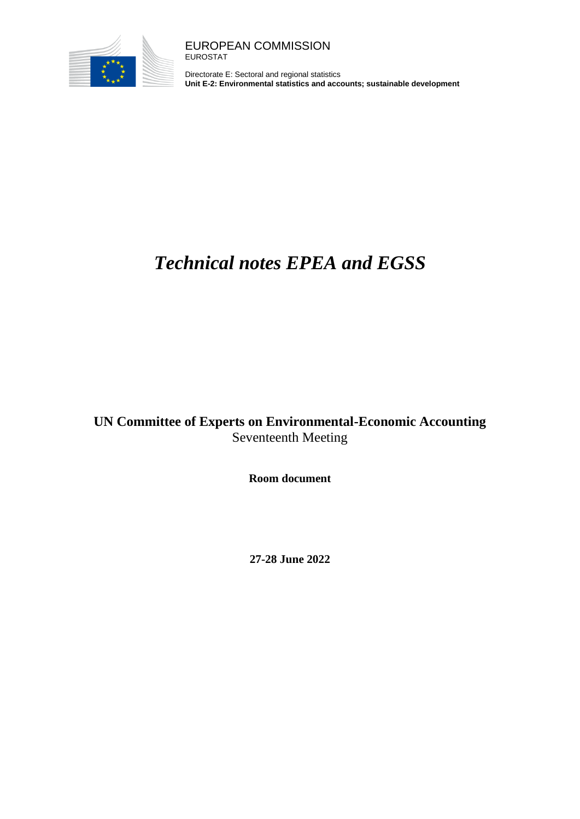

Directorate E: Sectoral and regional statistics **Unit E-2: Environmental statistics and accounts; sustainable development**

## *Technical notes EPEA and EGSS*

## **UN Committee of Experts on Environmental-Economic Accounting**  Seventeenth Meeting

**Room document**

**27-28 June 2022**